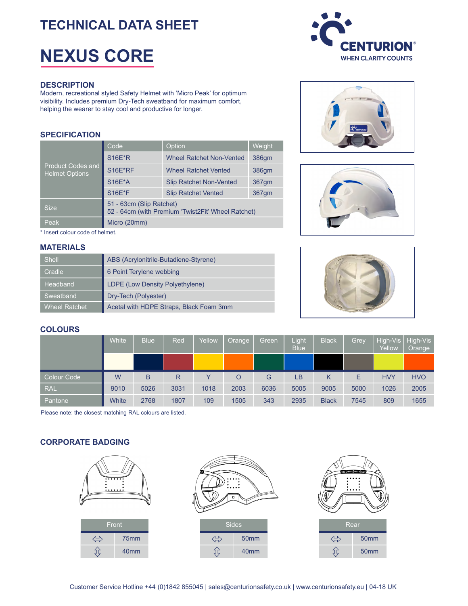# **TECHNICAL DATA SHEET**

# **NEXUS CORE**

#### **DESCRIPTION**

Modern, recreational styled Safety Helmet with 'Micro Peak' for optimum visibility. Includes premium Dry-Tech sweatband for maximum comfort, helping the wearer to stay cool and productive for longer.

## **SPECIFICATION**

| <b>Product Codes and</b><br><b>Helmet Options</b> | Code                                                                           | Option                          | Weight |  |  |  |  |  |
|---------------------------------------------------|--------------------------------------------------------------------------------|---------------------------------|--------|--|--|--|--|--|
|                                                   | <b>S16E*R</b>                                                                  | <b>Wheel Ratchet Non-Vented</b> | 386gm  |  |  |  |  |  |
|                                                   | S16E*RF                                                                        | <b>Wheel Ratchet Vented</b>     | 386qm  |  |  |  |  |  |
|                                                   | <b>S16E*A</b>                                                                  | <b>Slip Ratchet Non-Vented</b>  | 367gm  |  |  |  |  |  |
|                                                   | <b>S16E*F</b>                                                                  | <b>Slip Ratchet Vented</b>      | 367gm  |  |  |  |  |  |
| <b>Size</b>                                       | 51 - 63cm (Slip Ratchet)<br>52 - 64cm (with Premium 'Twist2Fit' Wheel Ratchet) |                                 |        |  |  |  |  |  |
| Peak                                              | Micro (20mm)                                                                   |                                 |        |  |  |  |  |  |

\* Insert colour code of helmet.

#### **MATERIALS**

| Shell         | ABS (Acrylonitrile-Butadiene-Styrene)   |
|---------------|-----------------------------------------|
| Cradle        | 6 Point Terylene webbing                |
| Headband      | LDPE (Low Density Polyethylene)         |
| Sweatband     | Dry-Tech (Polyester)                    |
| Wheel Ratchet | Acetal with HDPE Straps, Black Foam 3mm |









## **COLOURS**

|                    | White | <b>Blue</b> | Red  | Yellow | Orange | Green | Light<br><b>Blue</b> | <b>Black</b> | Grey | Yellow     | High-Vis   High-Vis<br>Orange |
|--------------------|-------|-------------|------|--------|--------|-------|----------------------|--------------|------|------------|-------------------------------|
|                    |       |             |      |        |        |       |                      |              |      |            |                               |
| <b>Colour Code</b> | W     | B           | R    |        | O      | G     | LВ                   | Κ            | E    | <b>HVY</b> | <b>HVO</b>                    |
| <b>RAL</b>         | 9010  | 5026        | 3031 | 1018   | 2003   | 6036  | 5005                 | 9005         | 5000 | 1026       | 2005                          |
|                    |       |             |      |        |        |       |                      |              |      |            |                               |

Please note: the closest matching RAL colours are listed.

# **CORPORATE BADGING**

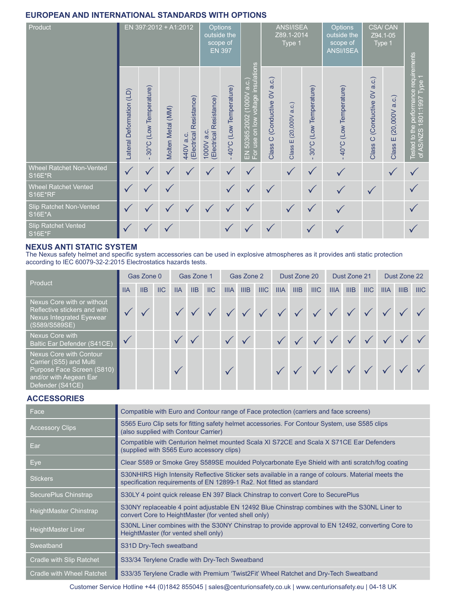# **EUROPEAN AND INTERNATIONAL STANDARDS WITH OPTIONS**

| Product                                     | EN 397:2012 + A1:2012    |                                     |                   |                                         | Options<br>outside the<br>scope of      | <b>EN 397</b>          |                                                                  |                                                       | <b>ANSI/ISEA</b><br>Z89.1-2014<br>Type 1 |                                     | Options<br>outside the<br>scope of<br><b>ANSI/ISEA</b> | <b>CSA/CAN</b><br>Z94.1-05<br>Type 1     |                                |                                                                                 |
|---------------------------------------------|--------------------------|-------------------------------------|-------------------|-----------------------------------------|-----------------------------------------|------------------------|------------------------------------------------------------------|-------------------------------------------------------|------------------------------------------|-------------------------------------|--------------------------------------------------------|------------------------------------------|--------------------------------|---------------------------------------------------------------------------------|
|                                             | Lateral Deformation (LD) | (Low Temperature)<br>$30^{\circ}$ C | Molten Metal (MM) | Resistance)<br>(Electrical<br>440V a.c. | (Electrical Resistance)<br>$1000V$ a.c. | 40°C (Low Temperature) | EN 50365:2002 (1000V a.c.)<br>For use on low voltage insulations | (Conductive OV a.c.)<br>$\circ$<br>Class <sup>1</sup> | a.c.)<br>(20,000V)<br>Ш<br>Class         | (Low Temperature)<br>$30^{\circ}$ C | 40°C (Low Temperature)                                 | (Conductive OV a.c.)<br>$\circ$<br>Class | (20,000V a.c.)<br>Ш<br>Class I | performance requirements<br>Type<br>1661:108<br>Tested to the p<br>of AS/NZS 18 |
| Wheel Ratchet Non-Vented<br><b>S16E*R</b>   | $\checkmark$             | ✓                                   | $\checkmark$      |                                         |                                         | ✓                      | $\checkmark$                                                     |                                                       |                                          | $\checkmark$                        | $\checkmark$                                           |                                          | ✓                              |                                                                                 |
| <b>Wheel Ratchet Vented</b><br>S16E*RF      | $\checkmark$             | ✓                                   | ✓                 |                                         |                                         | ✓                      | $\checkmark$                                                     |                                                       |                                          | $\checkmark$                        | ✓                                                      | $\checkmark$                             |                                |                                                                                 |
| Slip Ratchet Non-Vented<br><b>S16E*A</b>    | $\checkmark$             | $\checkmark$                        | ✓                 |                                         |                                         |                        | $\checkmark$                                                     |                                                       | $\checkmark$                             | ✓                                   |                                                        |                                          |                                |                                                                                 |
| <b>Slip Ratchet Vented</b><br><b>S16E*F</b> |                          |                                     |                   |                                         |                                         |                        |                                                                  |                                                       |                                          | $\checkmark$                        |                                                        |                                          |                                |                                                                                 |

# **NEXUS ANTI STATIC SYSTEM**

The Nexus safety helmet and specifc system accessories can be used in explosive atmospheres as it provides anti static protection according to IEC 60079-32-2:2015 Electrostatics hazards tests.

| Product                                                                                                                        | Gas Zone 0 |     |      | Gas Zone 1 |     |      | Gas Zone 2  |      |      | Dust Zone 20 |                                                                                                                               |             | Dust Zone 21 |      |      | Dust Zone 22 |      |      |
|--------------------------------------------------------------------------------------------------------------------------------|------------|-----|------|------------|-----|------|-------------|------|------|--------------|-------------------------------------------------------------------------------------------------------------------------------|-------------|--------------|------|------|--------------|------|------|
|                                                                                                                                | <b>IIA</b> | IIB | $II$ | <b>IIA</b> | IIB | $II$ | <b>IIIA</b> | IIIB | IIIC | <b>IIIA</b>  | IIIB                                                                                                                          | <b>IIIC</b> | <b>IIIA</b>  | IIIB | IIIC | <b>IIIA</b>  | IIIB | IIIC |
| Nexus Core with or without<br>Reflective stickers and with<br>Nexus Integrated Eyewear<br>(S589/S589SE)                        |            |     |      |            |     |      |             |      |      |              | $\sqrt{\phantom{a}}$ $\sqrt{\phantom{a}}$ $\sqrt{\phantom{a}}$ $\sqrt{\phantom{a}}$ $\sqrt{\phantom{a}}$ $\sqrt{\phantom{a}}$ |             |              |      |      |              |      |      |
| <b>Nexus Core with</b><br><b>Baltic Ear Defender (S41CE)</b>                                                                   |            |     |      |            |     |      |             |      |      |              |                                                                                                                               |             |              |      |      |              |      |      |
| Nexus Core with Contour<br>Carrier (S55) and Multi<br>Purpose Face Screen (S810)<br>and/or with Aegean Ear<br>Defender (S41CE) |            |     |      |            |     |      |             |      |      |              |                                                                                                                               |             |              |      |      |              |      |      |

# **ACCESSORIES**

| Face                             | Compatible with Euro and Contour range of Face protection (carriers and face screens)                                                                                       |
|----------------------------------|-----------------------------------------------------------------------------------------------------------------------------------------------------------------------------|
| <b>Accessory Clips</b>           | S565 Euro Clip sets for fitting safety helmet accessories. For Contour System, use S585 clips<br>(also supplied with Contour Carrier)                                       |
| Ear                              | Compatible with Centurion helmet mounted Scala XI S72CE and Scala X S71CE Ear Defenders<br>(supplied with S565 Euro accessory clips)                                        |
| Eye                              | Clear S589 or Smoke Grey S589SE moulded Polycarbonate Eye Shield with anti scratch/fog coating                                                                              |
| <b>Stickers</b>                  | S30NHIRS High Intensity Reflective Sticker sets available in a range of colours. Material meets the<br>specification requirements of EN 12899-1 Ra2. Not fitted as standard |
| SecurePlus Chinstrap             | S30LY 4 point quick release EN 397 Black Chinstrap to convert Core to SecurePlus                                                                                            |
| HeightMaster Chinstrap           | S30NY replaceable 4 point adjustable EN 12492 Blue Chinstrap combines with the S30NL Liner to<br>convert Core to HeightMaster (for vented shell only)                       |
| <b>HeightMaster Liner</b>        | S30NL Liner combines with the S30NY Chinstrap to provide approval to EN 12492, converting Core to<br>HeightMaster (for vented shell only)                                   |
| Sweatband                        | S31D Dry-Tech sweatband                                                                                                                                                     |
| Cradle with Slip Ratchet         | S33/34 Terylene Cradle with Dry-Tech Sweatband                                                                                                                              |
| <b>Cradle with Wheel Ratchet</b> | S33/35 Terylene Cradle with Premium 'Twist2Fit' Wheel Ratchet and Dry-Tech Sweatband                                                                                        |

Customer Service Hotline +44 (0)1842 855045 | sales@centurionsafety.co.uk | www.centurionsafety.eu | 04-18 UK